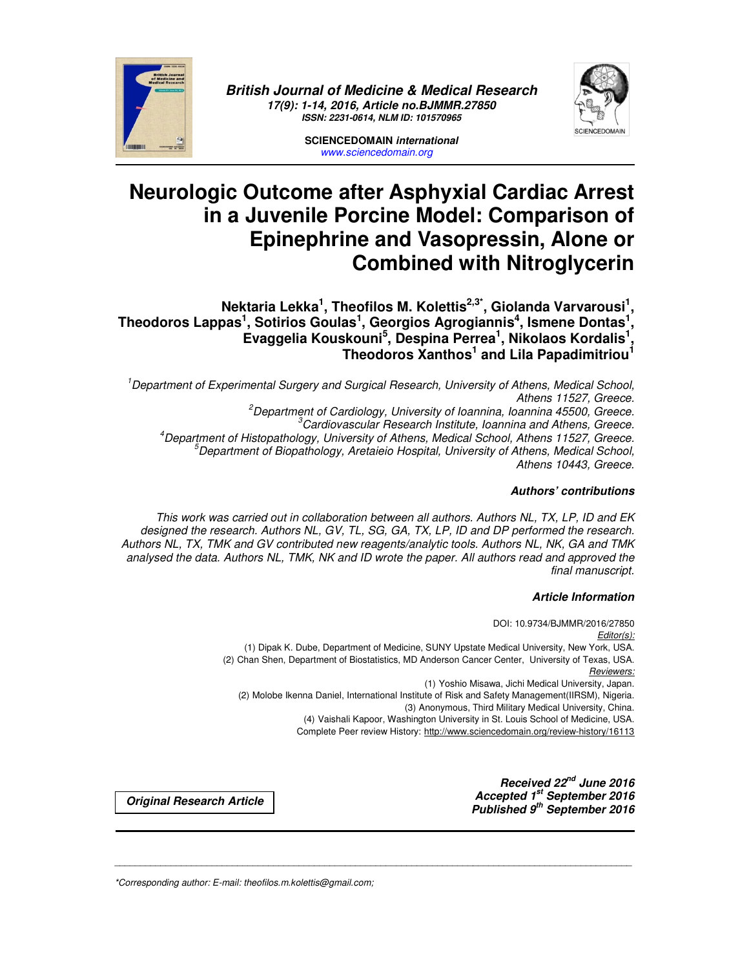

*British Journal of Medicine & Medical Research 17(9): 1-14, 2016, Article no.BJMMR.27850 ISSN: 2231-0614, NLM ID: 101570965* 



**SCIENCEDOMAIN** *international www.sciencedomain.org*

# **Neurologic Outcome after Asphyxial Cardiac Arrest in a Juvenile Porcine Model: Comparison of Epinephrine and Vasopressin, Alone or Combined with Nitroglycerin**

**Nektaria Lekka<sup>1</sup> , Theofilos M. Kolettis2,3\*, Giolanda Varvarousi<sup>1</sup> , Theodoros Lappas<sup>1</sup> , Sotirios Goulas<sup>1</sup> , Georgios Agrogiannis<sup>4</sup> , Ismene Dontas<sup>1</sup> , Evaggelia Kouskouni<sup>5</sup> , Despina Perrea<sup>1</sup> , Nikolaos Kordalis<sup>1</sup> , Theodoros Xanthos<sup>1</sup> and Lila Papadimitriou<sup>1</sup>**

*Department of Experimental Surgery and Surgical Research, University of Athens, Medical School, Athens 11527, Greece. Department of Cardiology, University of Ioannina, Ioannina 45500, Greece. Cardiovascular Research Institute, Ioannina and Athens, Greece. Department of Histopathology, University of Athens, Medical School, Athens 11527, Greece. Department of Biopathology, Aretaieio Hospital, University of Athens, Medical School, Athens 10443, Greece.* 

### *Authors' contributions*

*This work was carried out in collaboration between all authors. Authors NL, TX, LP, ID and EK designed the research. Authors NL, GV, TL, SG, GA, TX, LP, ID and DP performed the research. Authors NL, TX, TMK and GV contributed new reagents/analytic tools. Authors NL, NK, GA and TMK analysed the data. Authors NL, TMK, NK and ID wrote the paper. All authors read and approved the final manuscript.* 

\_\_\_\_\_\_\_\_\_\_\_\_\_\_\_\_\_\_\_\_\_\_\_\_\_\_\_\_\_\_\_\_\_\_\_\_\_\_\_\_\_\_\_\_\_\_\_\_\_\_\_\_\_\_\_\_\_\_\_\_\_\_\_\_\_\_\_\_\_\_\_\_\_\_\_\_\_\_\_\_\_\_\_\_\_\_\_\_\_\_\_\_\_\_\_\_\_\_\_\_\_

### *Article Information*

DOI: 10.9734/BJMMR/2016/27850 *Editor(s):* (1) Dipak K. Dube, Department of Medicine, SUNY Upstate Medical University, New York, USA. (2) Chan Shen, Department of Biostatistics, MD Anderson Cancer Center, University of Texas, USA. *Reviewers:* (1) Yoshio Misawa, Jichi Medical University, Japan. (2) Molobe Ikenna Daniel, International Institute of Risk and Safety Management(IIRSM), Nigeria. (3) Anonymous, Third Military Medical University, China. (4) Vaishali Kapoor, Washington University in St. Louis School of Medicine, USA. Complete Peer review History: http://www.sciencedomain.org/review-history/16113

*Received 22nd June 2016 Accepted 1st September 2016 Published 9th September 2016 Original Research Article*

*\*Corresponding author: E-mail: theofilos.m.kolettis@gmail.com;*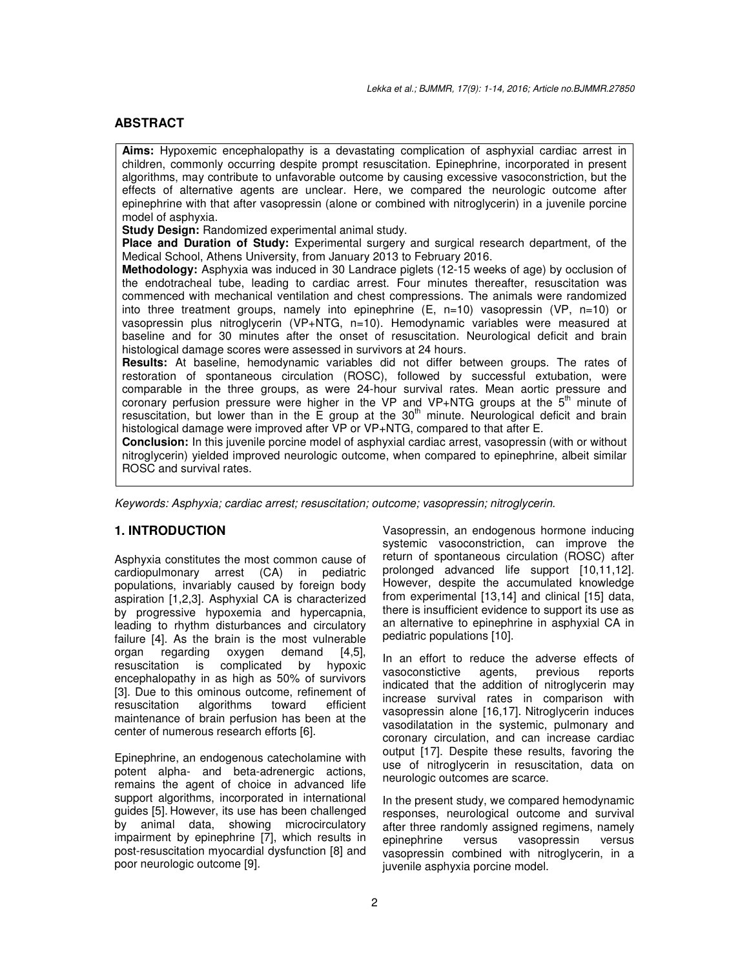### **ABSTRACT**

**Aims:** Hypoxemic encephalopathy is a devastating complication of asphyxial cardiac arrest in children, commonly occurring despite prompt resuscitation. Epinephrine, incorporated in present algorithms, may contribute to unfavorable outcome by causing excessive vasoconstriction, but the effects of alternative agents are unclear. Here, we compared the neurologic outcome after epinephrine with that after vasopressin (alone or combined with nitroglycerin) in a juvenile porcine model of asphyxia.

**Study Design:** Randomized experimental animal study.

**Place and Duration of Study:** Experimental surgery and surgical research department, of the Medical School, Athens University, from January 2013 to February 2016.

**Methodology:** Asphyxia was induced in 30 Landrace piglets (12-15 weeks of age) by occlusion of the endotracheal tube, leading to cardiac arrest. Four minutes thereafter, resuscitation was commenced with mechanical ventilation and chest compressions. The animals were randomized into three treatment groups, namely into epinephrine  $(E, n=10)$  vasopressin (VP, n=10) or vasopressin plus nitroglycerin (VP+NTG, n=10). Hemodynamic variables were measured at baseline and for 30 minutes after the onset of resuscitation. Neurological deficit and brain histological damage scores were assessed in survivors at 24 hours.

**Results:** At baseline, hemodynamic variables did not differ between groups. The rates of restoration of spontaneous circulation (ROSC), followed by successful extubation, were comparable in the three groups, as were 24-hour survival rates. Mean aortic pressure and coronary perfusion pressure were higher in the VP and VP+NTG groups at the  $5<sup>th</sup>$  minute of resuscitation, but lower than in the  $\bar{E}$  group at the 30<sup>th</sup> minute. Neurological deficit and brain histological damage were improved after VP or VP+NTG, compared to that after E.

**Conclusion:** In this juvenile porcine model of asphyxial cardiac arrest, vasopressin (with or without nitroglycerin) yielded improved neurologic outcome, when compared to epinephrine, albeit similar ROSC and survival rates.

*Keywords: Asphyxia; cardiac arrest; resuscitation; outcome; vasopressin; nitroglycerin.* 

### **1. INTRODUCTION**

Asphyxia constitutes the most common cause of cardiopulmonary arrest (CA) in pediatric populations, invariably caused by foreign body aspiration [1,2,3]. Asphyxial CA is characterized by progressive hypoxemia and hypercapnia, leading to rhythm disturbances and circulatory failure [4]. As the brain is the most vulnerable organ regarding oxygen demand [4,5], resuscitation is complicated by hypoxic encephalopathy in as high as 50% of survivors [3]. Due to this ominous outcome, refinement of resuscitation algorithms toward efficient resuscitation maintenance of brain perfusion has been at the center of numerous research efforts [6].

Epinephrine, an endogenous catecholamine with potent alpha- and beta-adrenergic actions, remains the agent of choice in advanced life support algorithms, incorporated in international guides [5]. However, its use has been challenged by animal data, showing microcirculatory impairment by epinephrine [7], which results in post-resuscitation myocardial dysfunction [8] and poor neurologic outcome [9].

Vasopressin, an endogenous hormone inducing systemic vasoconstriction, can improve the return of spontaneous circulation (ROSC) after prolonged advanced life support [10,11,12]. However, despite the accumulated knowledge from experimental [13,14] and clinical [15] data, there is insufficient evidence to support its use as an alternative to epinephrine in asphyxial CA in pediatric populations [10].

In an effort to reduce the adverse effects of vasoconstictive agents, previous reports indicated that the addition of nitroglycerin may increase survival rates in comparison with vasopressin alone [16,17]. Nitroglycerin induces vasodilatation in the systemic, pulmonary and coronary circulation, and can increase cardiac output [17]. Despite these results, favoring the use of nitroglycerin in resuscitation, data on neurologic outcomes are scarce.

In the present study, we compared hemodynamic responses, neurological outcome and survival after three randomly assigned regimens, namely<br>epinephrine versus vasopressin versus epinephrine versus vasopressin versus vasopressin combined with nitroglycerin, in a juvenile asphyxia porcine model.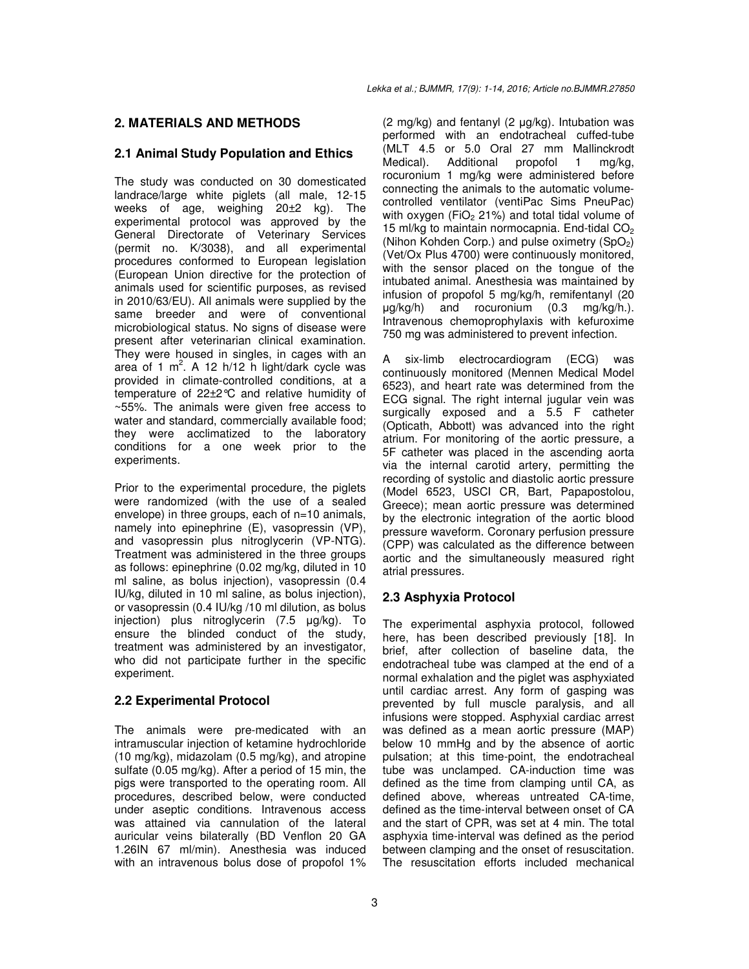# **2. MATERIALS AND METHODS**

### **2.1 Animal Study Population and Ethics**

The study was conducted on 30 domesticated landrace/large white piglets (all male, 12-15 weeks of age, weighing 20±2 kg). The experimental protocol was approved by the General Directorate of Veterinary Services (permit no. K/3038), and all experimental procedures conformed to European legislation (European Union directive for the protection of animals used for scientific purposes, as revised in 2010/63/EU). All animals were supplied by the same breeder and were of conventional microbiological status. No signs of disease were present after veterinarian clinical examination. They were housed in singles, in cages with an area of 1 m<sup>2</sup>. A 12 h/12 h light/dark cycle was provided in climate-controlled conditions, at a temperature of 22±2°C and relative humidity of ~55%. The animals were given free access to water and standard, commercially available food; they were acclimatized to the laboratory conditions for a one week prior to the experiments.

Prior to the experimental procedure, the piglets were randomized (with the use of a sealed envelope) in three groups, each of n=10 animals, namely into epinephrine (E), vasopressin (VP), and vasopressin plus nitroglycerin (VP-NTG). Treatment was administered in the three groups as follows: epinephrine (0.02 mg/kg, diluted in 10 ml saline, as bolus injection), vasopressin (0.4 IU/kg, diluted in 10 ml saline, as bolus injection), or vasopressin (0.4 IU/kg /10 ml dilution, as bolus injection) plus nitroglycerin (7.5 µg/kg). To ensure the blinded conduct of the study, treatment was administered by an investigator, who did not participate further in the specific experiment.

# **2.2 Experimental Protocol**

The animals were pre-medicated with an intramuscular injection of ketamine hydrochloride (10 mg/kg), midazolam (0.5 mg/kg), and atropine sulfate (0.05 mg/kg). After a period of 15 min, the pigs were transported to the operating room. All procedures, described below, were conducted under aseptic conditions. Intravenous access was attained via cannulation of the lateral auricular veins bilaterally (BD Venflon 20 GA 1.26IN 67 ml/min). Anesthesia was induced with an intravenous bolus dose of propofol 1%

 $(2 \text{ mg/kg})$  and fentanyl  $(2 \text{ µg/kg})$ . Intubation was performed with an endotracheal cuffed-tube (MLT 4.5 or 5.0 Oral 27 mm Mallinckrodt<br>Medical). Additional propofol 1 mg/kg, Medical). Additional propofol 1 rocuronium 1 mg/kg were administered before connecting the animals to the automatic volumecontrolled ventilator (ventiPac Sims PneuPac) with oxygen (FiO<sub>2</sub> 21%) and total tidal volume of 15 ml/kg to maintain normocapnia. End-tidal  $CO<sub>2</sub>$ (Nihon Kohden Corp.) and pulse oximetry  $(SpO<sub>2</sub>)$ (Vet/Ox Plus 4700) were continuously monitored, with the sensor placed on the tongue of the intubated animal. Anesthesia was maintained by infusion of propofol 5 mg/kg/h, remifentanyl (20 µg/kg/h) and rocuronium (0.3 mg/kg/h.). Intravenous chemoprophylaxis with kefuroxime 750 mg was administered to prevent infection.

A six-limb electrocardiogram (ECG) was continuously monitored (Mennen Medical Model 6523), and heart rate was determined from the ECG signal. The right internal jugular vein was surgically exposed and a 5.5 F catheter (Opticath, Abbott) was advanced into the right atrium. For monitoring of the aortic pressure, a 5F catheter was placed in the ascending aorta via the internal carotid artery, permitting the recording of systolic and diastolic aortic pressure (Model 6523, USCI CR, Bart, Papapostolou, Greece); mean aortic pressure was determined by the electronic integration of the aortic blood pressure waveform. Coronary perfusion pressure (CPP) was calculated as the difference between aortic and the simultaneously measured right atrial pressures.

# **2.3 Asphyxia Protocol**

The experimental asphyxia protocol, followed here, has been described previously [18]. In brief, after collection of baseline data, the endotracheal tube was clamped at the end of a normal exhalation and the piglet was asphyxiated until cardiac arrest. Any form of gasping was prevented by full muscle paralysis, and all infusions were stopped. Asphyxial cardiac arrest was defined as a mean aortic pressure (MAP) below 10 mmHg and by the absence of aortic pulsation; at this time-point, the endotracheal tube was unclamped. CA-induction time was defined as the time from clamping until CA, as defined above, whereas untreated CA-time, defined as the time-interval between onset of CA and the start of CPR, was set at 4 min. The total asphyxia time-interval was defined as the period between clamping and the onset of resuscitation. The resuscitation efforts included mechanical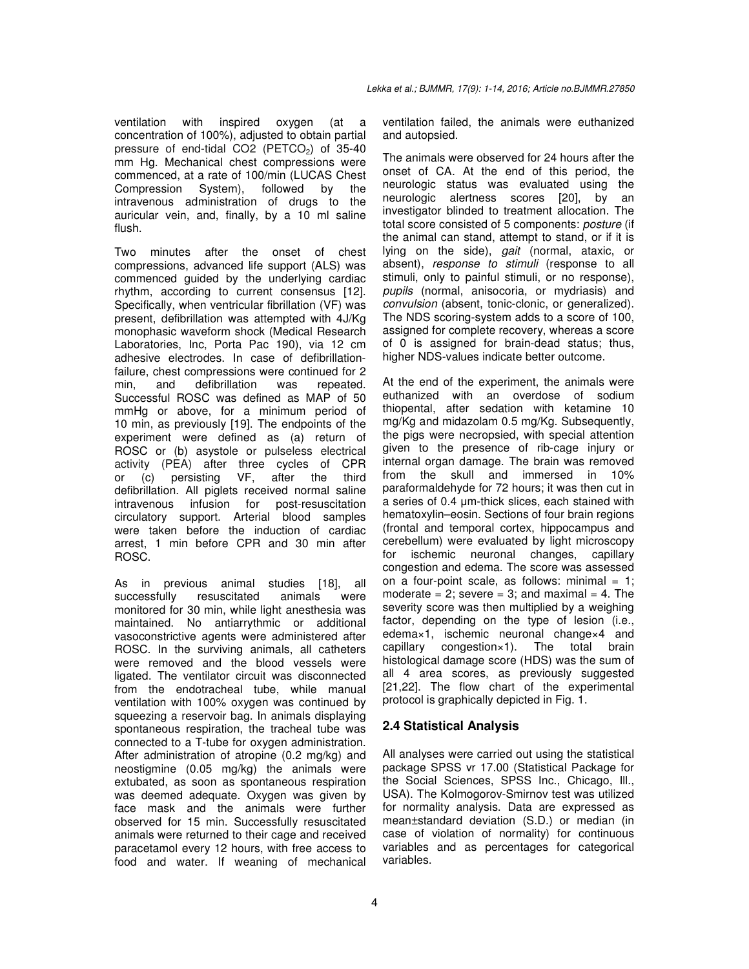ventilation with inspired oxygen (at a concentration of 100%), adjusted to obtain partial pressure of end-tidal CO2 ( $PETCO<sub>2</sub>$ ) of 35-40 mm Hg. Mechanical chest compressions were commenced, at a rate of 100/min (LUCAS Chest Compression System), followed by the intravenous administration of drugs to the auricular vein, and, finally, by a 10 ml saline flush.

Two minutes after the onset of chest compressions, advanced life support (ALS) was commenced guided by the underlying cardiac rhythm, according to current consensus [12]. Specifically, when ventricular fibrillation (VF) was present, defibrillation was attempted with 4J/Kg monophasic waveform shock (Medical Research Laboratories, Inc, Porta Pac 190), via 12 cm adhesive electrodes. In case of defibrillationfailure, chest compressions were continued for 2 min, and defibrillation was repeated. Successful ROSC was defined as MAP of 50 mmHg or above, for a minimum period of 10 min, as previously [19]. The endpoints of the experiment were defined as (a) return of ROSC or (b) asystole or pulseless electrical activity (PEA) after three cycles of CPR or (c) persisting VF, after the third defibrillation. All piglets received normal saline intravenous infusion for post-resuscitation circulatory support. Arterial blood samples were taken before the induction of cardiac arrest, 1 min before CPR and 30 min after ROSC.

As in previous animal studies [18], all successfully resuscitated animals were monitored for 30 min, while light anesthesia was maintained. No antiarrythmic or additional vasoconstrictive agents were administered after ROSC. In the surviving animals, all catheters were removed and the blood vessels were ligated. The ventilator circuit was disconnected from the endotracheal tube, while manual ventilation with 100% oxygen was continued by squeezing a reservoir bag. In animals displaying spontaneous respiration, the tracheal tube was connected to a T-tube for oxygen administration. After administration of atropine (0.2 mg/kg) and neostigmine (0.05 mg/kg) the animals were extubated, as soon as spontaneous respiration was deemed adequate. Oxygen was given by face mask and the animals were further observed for 15 min. Successfully resuscitated animals were returned to their cage and received paracetamol every 12 hours, with free access to food and water. If weaning of mechanical

ventilation failed, the animals were euthanized and autopsied.

The animals were observed for 24 hours after the onset of CA. At the end of this period, the neurologic status was evaluated using the neurologic alertness scores [20], by an investigator blinded to treatment allocation. The total score consisted of 5 components: *posture* (if the animal can stand, attempt to stand, or if it is lying on the side), *gait* (normal, ataxic, or absent), *response to stimuli* (response to all stimuli, only to painful stimuli, or no response), *pupils* (normal, anisocoria, or mydriasis) and *convulsion* (absent, tonic-clonic, or generalized). The NDS scoring-system adds to a score of 100, assigned for complete recovery, whereas a score of 0 is assigned for brain-dead status; thus, higher NDS-values indicate better outcome.

At the end of the experiment, the animals were euthanized with an overdose of sodium thiopental, after sedation with ketamine 10 mg/Kg and midazolam 0.5 mg/Kg. Subsequently, the pigs were necropsied, with special attention given to the presence of rib-cage injury or internal organ damage. The brain was removed from the skull and immersed in 10% paraformaldehyde for 72 hours; it was then cut in a series of 0.4 µm-thick slices, each stained with hematoxylin–eosin. Sections of four brain regions (frontal and temporal cortex, hippocampus and cerebellum) were evaluated by light microscopy for ischemic neuronal changes, capillary congestion and edema. The score was assessed on a four-point scale, as follows: minimal  $= 1$ ; moderate  $= 2$ ; severe  $= 3$ ; and maximal  $= 4$ . The severity score was then multiplied by a weighing factor, depending on the type of lesion (i.e., edema×1, ischemic neuronal change×4 and capillary congestion×1). The total brain histological damage score (HDS) was the sum of all 4 area scores, as previously suggested [21,22]. The flow chart of the experimental protocol is graphically depicted in Fig. 1.

# **2.4 Statistical Analysis**

All analyses were carried out using the statistical package SPSS vr 17.00 (Statistical Package for the Social Sciences, SPSS Inc., Chicago, Ill., USA). The Kolmogorov-Smirnov test was utilized for normality analysis. Data are expressed as mean±standard deviation (S.D.) or median (in case of violation of normality) for continuous variables and as percentages for categorical variables.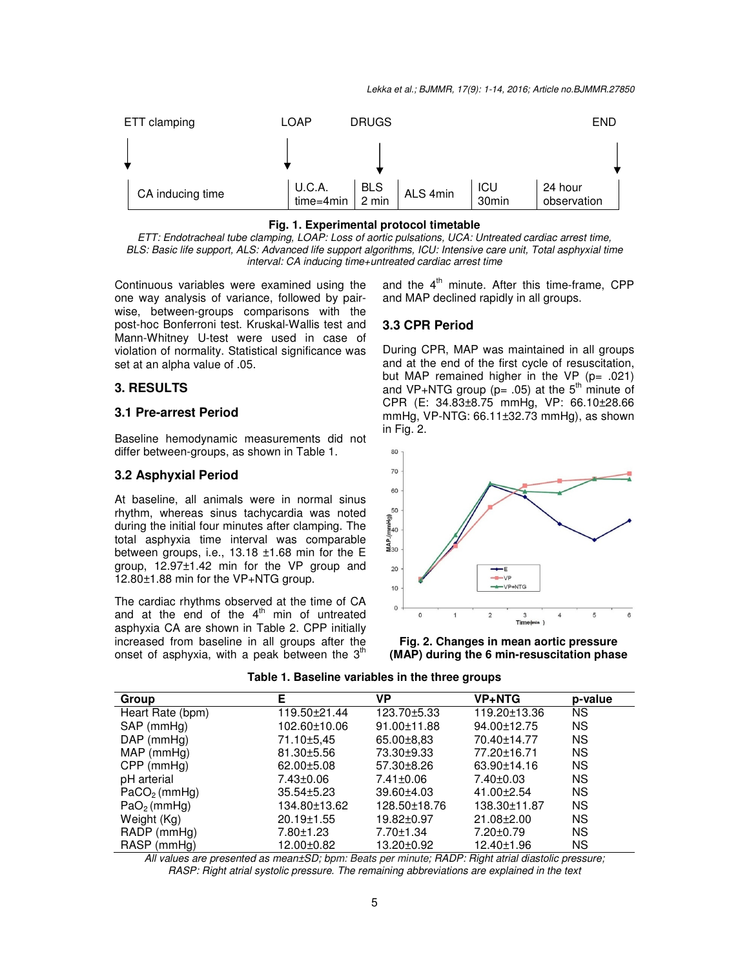

### **Fig. 1. Experimental protocol timetable**

*ETT: Endotracheal tube clamping, LOAP: Loss of aortic pulsations, UCA: Untreated cardiac arrest time, BLS: Basic life support, ALS: Advanced life support algorithms, ICU: Intensive care unit, Total asphyxial time interval: CA inducing time+untreated cardiac arrest time* 

Continuous variables were examined using the one way analysis of variance, followed by pairwise, between-groups comparisons with the post-hoc Bonferroni test. Kruskal-Wallis test and Mann-Whitney U-test were used in case of violation of normality. Statistical significance was set at an alpha value of .05.

### **3. RESULTS**

### **3.1 Pre-arrest Period**

Baseline hemodynamic measurements did not differ between-groups, as shown in Table 1.

### **3.2 Asphyxial Period**

At baseline, all animals were in normal sinus rhythm, whereas sinus tachycardia was noted during the initial four minutes after clamping. The total asphyxia time interval was comparable between groups, i.e., 13.18 ±1.68 min for the E group, 12.97±1.42 min for the VP group and 12.80±1.88 min for the VP+NTG group.

The cardiac rhythms observed at the time of CA and at the end of the  $4<sup>th</sup>$  min of untreated asphyxia CA are shown in Table 2. CPP initially increased from baseline in all groups after the onset of asphyxia, with a peak between the  $3<sup>th</sup>$  and the  $4<sup>th</sup>$  minute. After this time-frame, CPP and MAP declined rapidly in all groups.

### **3.3 CPR Period**

During CPR, MAP was maintained in all groups and at the end of the first cycle of resuscitation, but MAP remained higher in the VP (p= .021) and VP+NTG group ( $p= .05$ ) at the 5<sup>th</sup> minute of CPR (E: 34.83±8.75 mmHg, VP: 66.10±28.66 mmHg, VP-NTG: 66.11±32.73 mmHg), as shown in Fig. 2.





| Group            | Е                | VP           | <b>VP+NTG</b> | p-value   |
|------------------|------------------|--------------|---------------|-----------|
| Heart Rate (bpm) | 119.50±21.44     | 123.70±5.33  | 119.20±13.36  | <b>NS</b> |
| SAP (mmHg)       | 102.60±10.06     | 91.00±11.88  | 94.00±12.75   | <b>NS</b> |
| $DAP$ (mm $Hq$ ) | 71.10±5,45       | 65.00±8.83   | 70.40±14.77   | <b>NS</b> |
| MAP (mmHq)       | 81.30±5.56       | 73.30±9.33   | 77.20±16.71   | <b>NS</b> |
| $CPP$ (mmHg)     | $62.00 \pm 5.08$ | 57.30±8.26   | 63.90±14.16   | <b>NS</b> |
| pH arterial      | 7.43±0.06        | 7.41±0.06    | 7.40±0.03     | <b>NS</b> |
| $PaCO2$ (mmHq)   | $35.54 \pm 5.23$ | 39.60±4.03   | 41.00±2.54    | <b>NS</b> |
| $PaO2$ (mmHg)    | 134.80±13.62     | 128.50±18.76 | 138.30±11.87  | <b>NS</b> |
| Weight (Kg)      | 20.19±1.55       | 19.82±0.97   | 21.08±2.00    | <b>NS</b> |
| $RADP$ (mmHg)    | 7.80±1.23        | 7.70±1.34    | 7.20±0.79     | <b>NS</b> |
| RASP (mmHq)      | 12.00±0.82       | 13.20±0.92   | 12.40±1.96    | <b>NS</b> |

**Table 1. Baseline variables in the three groups** 

*All values are presented as mean±SD; bpm: Beats per minute; RADP: Right atrial diastolic pressure; RASP: Right atrial systolic pressure. The remaining abbreviations are explained in the text*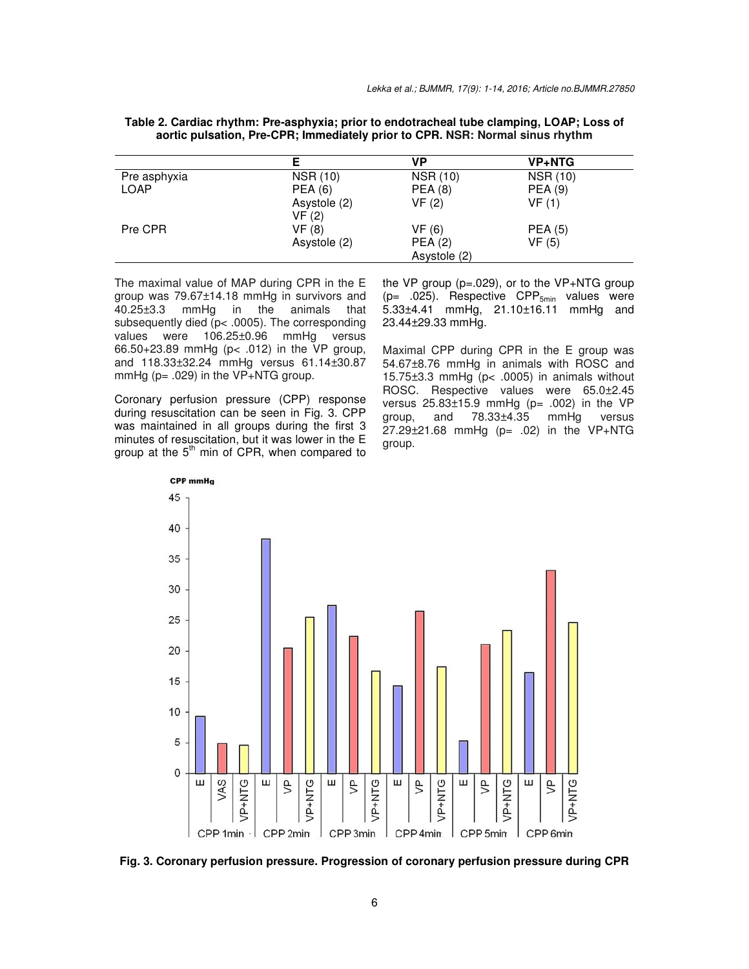**Table 2. Cardiac rhythm: Pre-asphyxia; prior to endotracheal tube clamping, LOAP; Loss of aortic pulsation, Pre-CPR; Immediately prior to CPR. NSR: Normal sinus rhythm** 

|              |                       | VP              | <b>VP+NTG</b>   |
|--------------|-----------------------|-----------------|-----------------|
| Pre asphyxia | <b>NSR (10)</b>       | <b>NSR (10)</b> | <b>NSR (10)</b> |
| <b>LOAP</b>  | <b>PEA (6)</b>        | <b>PEA (8)</b>  | <b>PEA (9)</b>  |
|              | Asystole (2)<br>VF(2) | VF(2)           | VF(1)           |
| Pre CPR      | VF (8)                | VF(6)           | <b>PEA (5)</b>  |
|              | Asystole (2)          | PEA(2)          | VF(5)           |
|              |                       | Asystole (2)    |                 |

The maximal value of MAP during CPR in the E group was 79.67±14.18 mmHg in survivors and 40.25±3.3 mmHg in the animals that subsequently died (p< .0005). The corresponding values were 106.25±0.96 mmHg versus 66.50+23.89 mmHg (p< .012) in the VP group, and 118.33±32.24 mmHg versus 61.14±30.87 mmHg ( $p = .029$ ) in the VP+NTG group.

Coronary perfusion pressure (CPP) response during resuscitation can be seen in Fig. 3. CPP was maintained in all groups during the first 3 minutes of resuscitation, but it was lower in the E group at the  $5<sup>th</sup>$  min of CPR, when compared to the VP group (p=.029), or to the VP+NTG group ( $p=$  .025). Respective CPP<sub>5min</sub> values were 5.33±4.41 mmHg, 21.10±16.11 mmHg and 23.44±29.33 mmHg.

Maximal CPP during CPR in the E group was 54.67±8.76 mmHg in animals with ROSC and 15.75±3.3 mmHg (p< .0005) in animals without ROSC. Respective values were 65.0±2.45 versus 25.83±15.9 mmHg (p= .002) in the VP group, and 78.33±4.35 mmHg versus 27.29±21.68 mmHg (p= .02) in the VP+NTG group.



**Fig. 3. Coronary perfusion pressure. Progression of coronary perfusion pressure during CPR**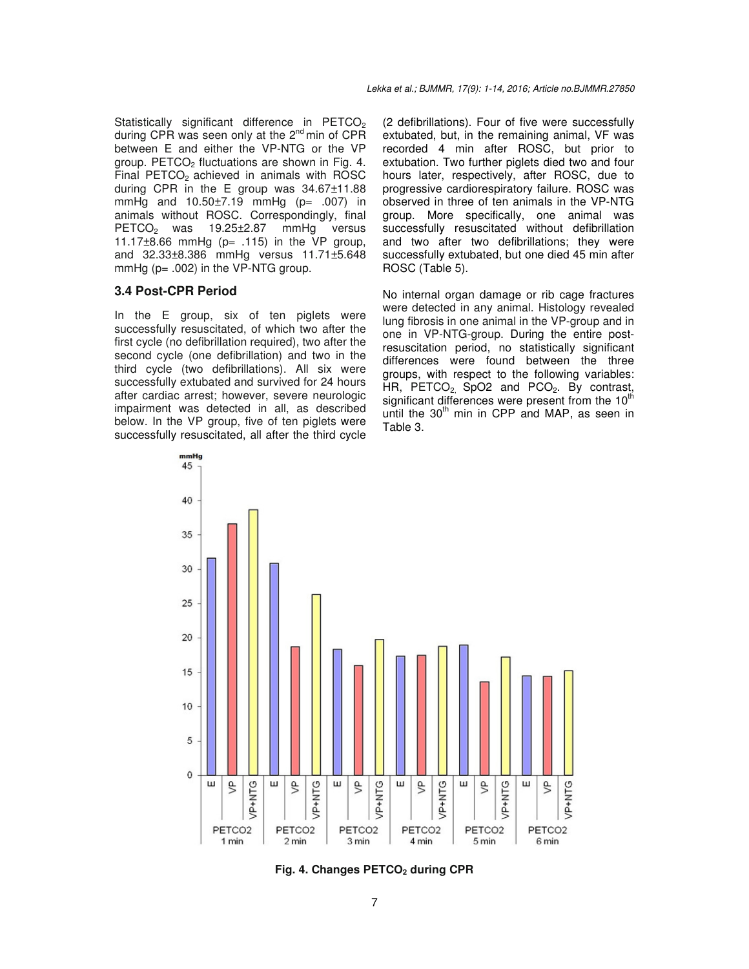Statistically significant difference in PETCO<sub>2</sub> during CPR was seen only at the 2<sup>nd</sup> min of CPR between E and either the VP-NTG or the VP group. PETCO<sub>2</sub> fluctuations are shown in Fig. 4. Final  $PETCO<sub>2</sub>$  achieved in animals with ROSC during CPR in the E group was 34.67±11.88 mmHg and 10.50±7.19 mmHg (p= .007) in animals without ROSC. Correspondingly, final PETCO<sub>2</sub> was 19.25±2.87 mmHg versus 11.17 $\pm$ 8.66 mmHg (p= .115) in the VP group, and 32.33±8.386 mmHg versus 11.71±5.648 mmHg  $(p= .002)$  in the VP-NTG group.

### **3.4 Post-CPR Period**

In the E group, six of ten piglets were successfully resuscitated, of which two after the first cycle (no defibrillation required), two after the second cycle (one defibrillation) and two in the third cycle (two defibrillations). All six were successfully extubated and survived for 24 hours after cardiac arrest; however, severe neurologic impairment was detected in all, as described below. In the VP group, five of ten piglets were successfully resuscitated, all after the third cycle (2 defibrillations). Four of five were successfully extubated, but, in the remaining animal, VF was recorded 4 min after ROSC, but prior to extubation. Two further piglets died two and four hours later, respectively, after ROSC, due to progressive cardiorespiratory failure. ROSC was observed in three of ten animals in the VP-NTG group. More specifically, one animal was successfully resuscitated without defibrillation and two after two defibrillations; they were successfully extubated, but one died 45 min after ROSC (Table 5).

No internal organ damage or rib cage fractures were detected in any animal. Histology revealed lung fibrosis in one animal in the VP-group and in one in VP-NTG-group. During the entire postresuscitation period, no statistically significant differences were found between the three groups, with respect to the following variables: HR, PETCO<sub>2</sub>, SpO2 and PCO<sub>2</sub>. By contrast, significant differences were present from the  $10<sup>th</sup>$ until the  $30<sup>th</sup>$  min in CPP and MAP, as seen in Table 3.



**Fig. 4. Changes PETCO2 during CPR**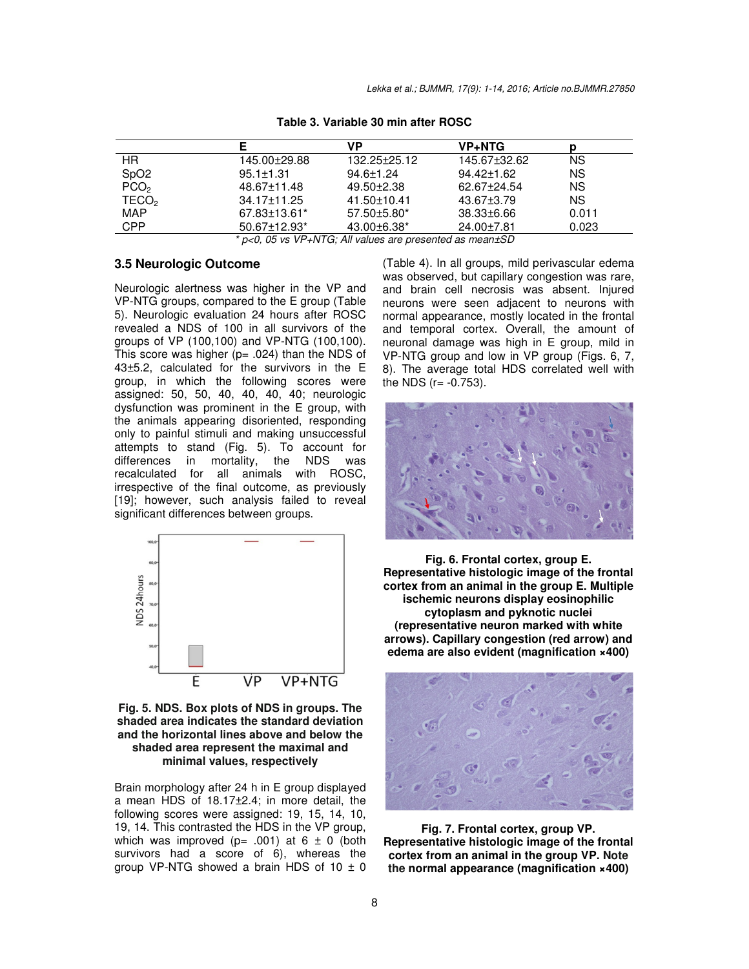|                                                          | Е                              | VP                | <b>VP+NTG</b>    |           |
|----------------------------------------------------------|--------------------------------|-------------------|------------------|-----------|
| HR.                                                      | 145.00±29.88                   | 132.25±25.12      | 145.67±32.62     | <b>NS</b> |
| SpO <sub>2</sub>                                         | $95.1 \pm 1.31$                | $94.6 \pm 1.24$   | $94.42 \pm 1.62$ | <b>NS</b> |
| PCO <sub>2</sub>                                         | 48.67±11.48                    | $49.50 + 2.38$    | 62.67±24.54      | <b>NS</b> |
| TECO <sub>2</sub>                                        | 34.17±11.25                    | 41.50±10.41       | $43.67 \pm 3.79$ | <b>NS</b> |
| <b>MAP</b>                                               | 67.83±13.61*                   | $57.50\pm5.80*$   | 38.33±6.66       | 0.011     |
| <b>CPP</b>                                               | $50.67 \pm 12.93$ <sup>*</sup> | $43.00\pm 6.38^*$ | $24.00 \pm 7.81$ | 0.023     |
| * p<0, 05 vs VP+NTG; All values are presented as mean±SD |                                |                   |                  |           |

**Table 3. Variable 30 min after ROSC** 

Neurologic alertness was higher in the VP and VP-NTG groups, compared to the E group (Table 5). Neurologic evaluation 24 hours after ROSC revealed a NDS of 100 in all survivors of the groups of VP (100,100) and VP-NTG (100,100). This score was higher ( $p = .024$ ) than the NDS of 43±5.2, calculated for the survivors in the E group, in which the following scores were assigned: 50, 50, 40, 40, 40, 40; neurologic dysfunction was prominent in the E group, with the animals appearing disoriented, responding only to painful stimuli and making unsuccessful attempts to stand (Fig. 5). To account for<br>differences in mortality, the NDS was differences in mortality, the NDS was recalculated for all animals with ROSC, irrespective of the final outcome, as previously [19]; however, such analysis failed to reveal significant differences between groups.

**3.5 Neurologic Outcome** 



**Fig. 5. NDS. Box plots of NDS in groups. The shaded area indicates the standard deviation and the horizontal lines above and below the shaded area represent the maximal and minimal values, respectively** 

Brain morphology after 24 h in E group displayed a mean HDS of 18.17±2.4; in more detail, the following scores were assigned: 19, 15, 14, 10, 19, 14. This contrasted the HDS in the VP group, which was improved (p= .001) at  $6 \pm 0$  (both survivors had a score of 6), whereas the group VP-NTG showed a brain HDS of  $10 \pm 0$ 

(Table 4). In all groups, mild perivascular edema was observed, but capillary congestion was rare, and brain cell necrosis was absent. Injured neurons were seen adjacent to neurons with normal appearance, mostly located in the frontal and temporal cortex. Overall, the amount of neuronal damage was high in E group, mild in VP-NTG group and low in VP group (Figs. 6, 7, 8). The average total HDS correlated well with the NDS  $(r = -0.753)$ .



**Fig. 6. Frontal cortex, group E. Representative histologic image of the frontal cortex from an animal in the group E. Multiple ischemic neurons display eosinophilic cytoplasm and pyknotic nuclei (representative neuron marked with white arrows). Capillary congestion (red arrow) and edema are also evident (magnification ×400)** 



**Fig. 7. Frontal cortex, group VP. Representative histologic image of the frontal cortex from an animal in the group VP. Note the normal appearance (magnification ×400)**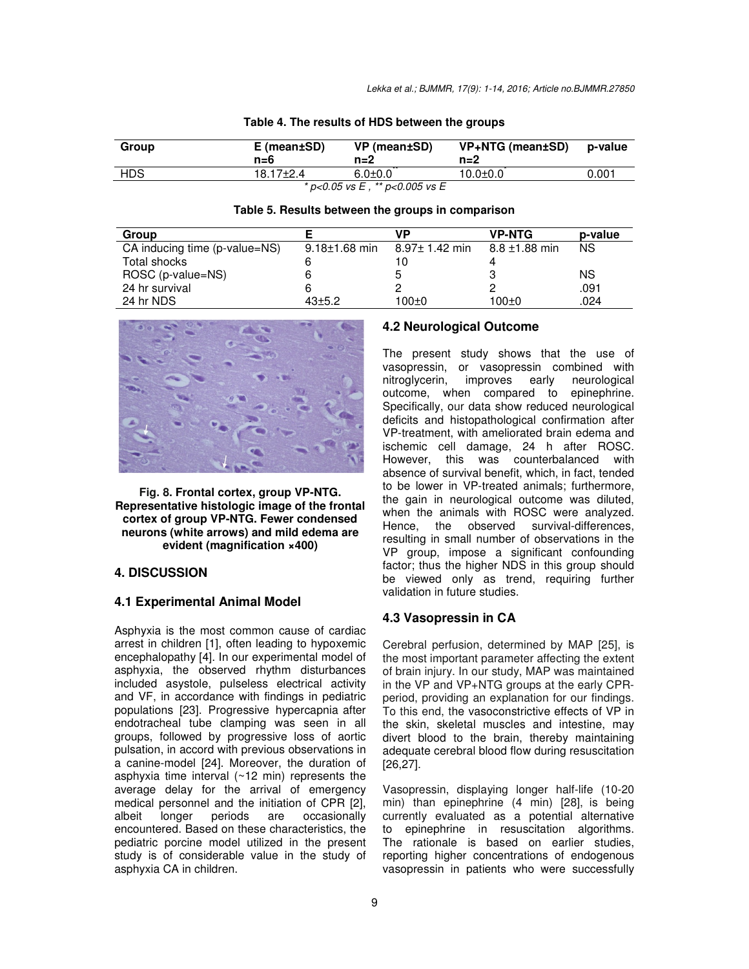| Group | $E$ (mean $\pm$ SD)<br>$n = 6$ | VP (mean±SD)<br>n=2            | VP+NTG (mean±SD)<br>$n=2$ | p-value |
|-------|--------------------------------|--------------------------------|---------------------------|---------|
| HDS   | 18.17 <sup>+</sup> 2.4         | $6.0 + 0.0$                    | $10.0 + 0.0$              | 0.001   |
|       |                                | * p<0.05 vs E, ** p<0.005 vs E |                           |         |

| Table 4. The results of HDS between the groups |  |  |  |
|------------------------------------------------|--|--|--|
|------------------------------------------------|--|--|--|

| Table 5. Results between the groups in comparison |  |
|---------------------------------------------------|--|
|---------------------------------------------------|--|

| Group                         |                     | VP                  | <b>VP-NTG</b>      | p-value   |
|-------------------------------|---------------------|---------------------|--------------------|-----------|
| CA inducing time (p-value=NS) | $9.18 \pm 1.68$ min | $8.97 \pm 1.42$ min | $8.8 \pm 1.88$ min | <b>NS</b> |
| Total shocks                  |                     |                     |                    |           |
| ROSC (p-value=NS)             |                     |                     |                    | ΝS        |
| 24 hr survival                |                     |                     |                    | .091      |
| 24 hr NDS                     | $43 + 5.2$          | $100+0$             | $100+0$            | .024      |



**Fig. 8. Frontal cortex, group VP-NTG. Representative histologic image of the frontal cortex of group VP-NTG. Fewer condensed neurons (white arrows) and mild edema are evident (magnification ×400)** 

# **4. DISCUSSION**

# **4.1 Experimental Animal Model**

Asphyxia is the most common cause of cardiac arrest in children [1], often leading to hypoxemic encephalopathy [4]. In our experimental model of asphyxia, the observed rhythm disturbances included asystole, pulseless electrical activity and VF, in accordance with findings in pediatric populations [23]. Progressive hypercapnia after endotracheal tube clamping was seen in all groups, followed by progressive loss of aortic pulsation, in accord with previous observations in a canine-model [24]. Moreover, the duration of asphyxia time interval (~12 min) represents the average delay for the arrival of emergency medical personnel and the initiation of CPR [2],<br>albeit longer periods are occasionally albeit longer periods are occasionally encountered. Based on these characteristics, the pediatric porcine model utilized in the present study is of considerable value in the study of asphyxia CA in children.

# **4.2 Neurological Outcome**

The present study shows that the use of vasopressin, or vasopressin combined with nitroglycerin, improves early neurological outcome, when compared to epinephrine. Specifically, our data show reduced neurological deficits and histopathological confirmation after VP-treatment, with ameliorated brain edema and ischemic cell damage, 24 h after ROSC. However, this was counterbalanced with absence of survival benefit, which, in fact, tended to be lower in VP-treated animals; furthermore, the gain in neurological outcome was diluted, when the animals with ROSC were analyzed. Hence, the observed survival-differences, resulting in small number of observations in the VP group, impose a significant confounding factor; thus the higher NDS in this group should be viewed only as trend, requiring further validation in future studies.

# **4.3 Vasopressin in CA**

Cerebral perfusion, determined by MAP [25], is the most important parameter affecting the extent of brain injury. In our study, MAP was maintained in the VP and VP+NTG groups at the early CPRperiod, providing an explanation for our findings. To this end, the vasoconstrictive effects of VP in the skin, skeletal muscles and intestine, may divert blood to the brain, thereby maintaining adequate cerebral blood flow during resuscitation [26,27].

Vasopressin, displaying longer half-life (10-20 min) than epinephrine (4 min) [28], is being currently evaluated as a potential alternative to epinephrine in resuscitation algorithms. The rationale is based on earlier studies, reporting higher concentrations of endogenous vasopressin in patients who were successfully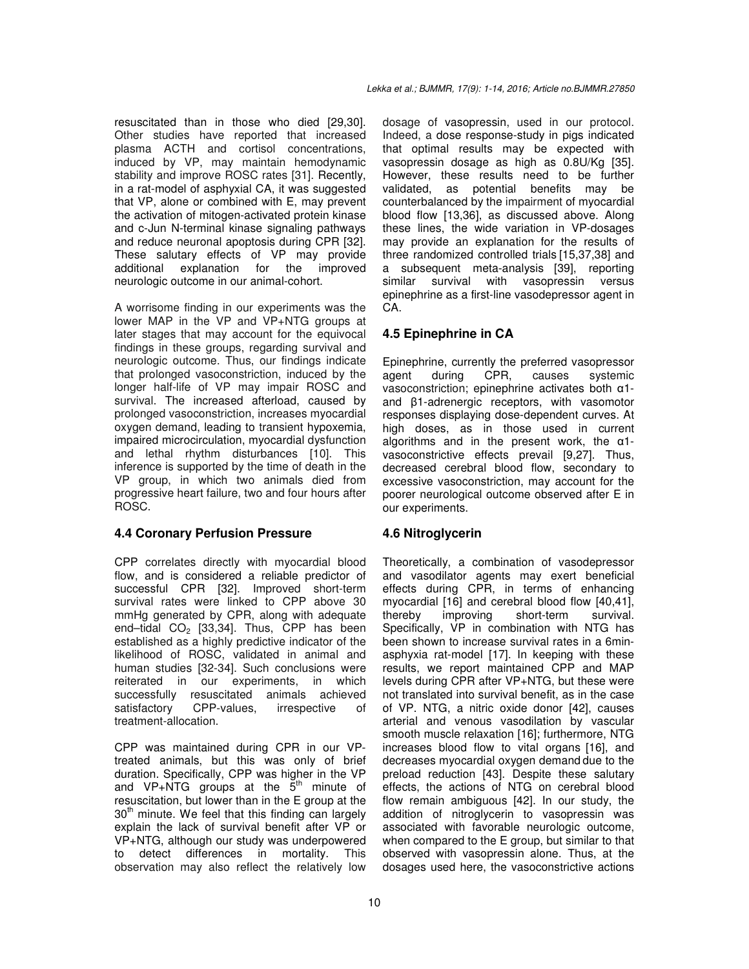resuscitated than in those who died [29,30]. Other studies have reported that increased plasma ACTH and cortisol concentrations, induced by VP, may maintain hemodynamic stability and improve ROSC rates [31]. Recently, in a rat-model of asphyxial CA, it was suggested that VP, alone or combined with E, may prevent the activation of mitogen-activated protein kinase and c-Jun N-terminal kinase signaling pathways and reduce neuronal apoptosis during CPR [32]. These salutary effects of VP may provide additional explanation for the improved neurologic outcome in our animal-cohort.

A worrisome finding in our experiments was the lower MAP in the VP and VP+NTG groups at later stages that may account for the equivocal findings in these groups, regarding survival and neurologic outcome. Thus, our findings indicate that prolonged vasoconstriction, induced by the longer half-life of VP may impair ROSC and survival. The increased afterload, caused by prolonged vasoconstriction, increases myocardial oxygen demand, leading to transient hypoxemia, impaired microcirculation, myocardial dysfunction and lethal rhythm disturbances [10]. This inference is supported by the time of death in the VP group, in which two animals died from progressive heart failure, two and four hours after ROSC.

# **4.4 Coronary Perfusion Pressure**

CPP correlates directly with myocardial blood flow, and is considered a reliable predictor of successful CPR [32]. Improved short-term survival rates were linked to CPP above 30 mmHg generated by CPR, along with adequate end-tidal  $CO<sub>2</sub>$  [33,34]. Thus, CPP has been established as a highly predictive indicator of the likelihood of ROSC, validated in animal and human studies [32-34]. Such conclusions were reiterated in our experiments, in which successfully resuscitated animals achieved satisfactory CPP-values, irrespective of treatment-allocation.

CPP was maintained during CPR in our VPtreated animals, but this was only of brief duration. Specifically, CPP was higher in the VP and VP+NTG groups at the  $\bar{5}^{th}$  minute of resuscitation, but lower than in the E group at the  $30<sup>th</sup>$  minute. We feel that this finding can largely explain the lack of survival benefit after VP or VP+NTG, although our study was underpowered to detect differences in mortality. This observation may also reflect the relatively low

dosage of vasopressin, used in our protocol. Indeed, a dose response-study in pigs indicated that optimal results may be expected with vasopressin dosage as high as 0.8U/Kg [35]. However, these results need to be further validated, as potential benefits may be counterbalanced by the impairment of myocardial blood flow [13,36], as discussed above. Along these lines, the wide variation in VP-dosages may provide an explanation for the results of three randomized controlled trials [15,37,38] and a subsequent meta-analysis [39], reporting similar survival with vasopressin versus epinephrine as a first-line vasodepressor agent in CA.

# **4.5 Epinephrine in CA**

Epinephrine, currently the preferred vasopressor<br>agent during CPR, causes systemic agent during CPR, causes systemic vasoconstriction; epinephrine activates both α1 and β1-adrenergic receptors, with vasomotor responses displaying dose-dependent curves. At high doses, as in those used in current algorithms and in the present work, the  $\alpha$ 1vasoconstrictive effects prevail [9,27]. Thus, decreased cerebral blood flow, secondary to excessive vasoconstriction, may account for the poorer neurological outcome observed after E in our experiments.

# **4.6 Nitroglycerin**

Theoretically, a combination of vasodepressor and vasodilator agents may exert beneficial effects during CPR, in terms of enhancing myocardial [16] and cerebral blood flow [40,41], thereby improving short-term survival. Specifically, VP in combination with NTG has been shown to increase survival rates in a 6minasphyxia rat-model [17]. In keeping with these results, we report maintained CPP and MAP levels during CPR after VP+NTG, but these were not translated into survival benefit, as in the case of VP. NTG, a nitric oxide donor [42], causes arterial and venous vasodilation by vascular smooth muscle relaxation [16]; furthermore, NTG increases blood flow to vital organs [16], and decreases myocardial oxygen demand due to the preload reduction [43]. Despite these salutary effects, the actions of NTG on cerebral blood flow remain ambiguous [42]. In our study, the addition of nitroglycerin to vasopressin was associated with favorable neurologic outcome, when compared to the E group, but similar to that observed with vasopressin alone. Thus, at the dosages used here, the vasoconstrictive actions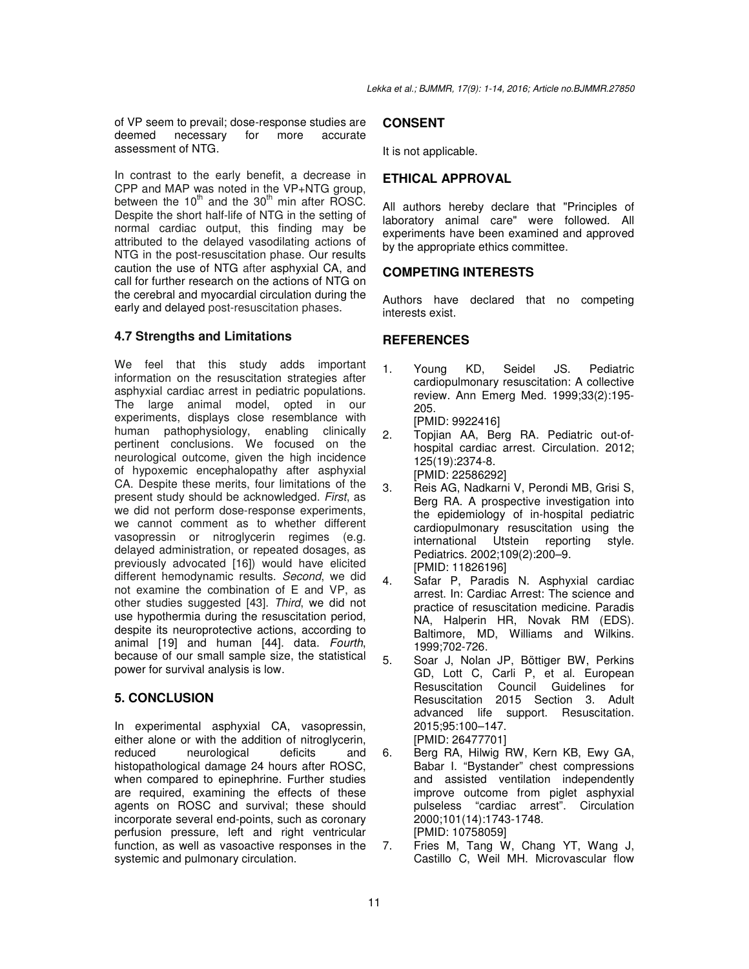of VP seem to prevail; dose-response studies are deemed necessary for more accurate assessment of NTG.

In contrast to the early benefit, a decrease in CPP and MAP was noted in the VP+NTG group, between the  $10^{th}$  and the  $30^{th}$  min after ROSC. Despite the short half-life of NTG in the setting of normal cardiac output, this finding may be attributed to the delayed vasodilating actions of NTG in the post-resuscitation phase. Our results caution the use of NTG after asphyxial CA, and call for further research on the actions of NTG on the cerebral and myocardial circulation during the early and delayed post-resuscitation phases.

### **4.7 Strengths and Limitations**

We feel that this study adds important information on the resuscitation strategies after asphyxial cardiac arrest in pediatric populations. The large animal model, opted in our experiments, displays close resemblance with human pathophysiology, enabling clinically pertinent conclusions. We focused on the neurological outcome, given the high incidence of hypoxemic encephalopathy after asphyxial CA. Despite these merits, four limitations of the present study should be acknowledged. *First*, as we did not perform dose-response experiments, we cannot comment as to whether different vasopressin or nitroglycerin regimes (e.g. delayed administration, or repeated dosages, as previously advocated [16]) would have elicited different hemodynamic results. *Second*, we did not examine the combination of E and VP, as other studies suggested [43]. *Third*, we did not use hypothermia during the resuscitation period, despite its neuroprotective actions, according to animal [19] and human [44]. data. *Fourth*, because of our small sample size, the statistical power for survival analysis is low.

### **5. CONCLUSION**

In experimental asphyxial CA, vasopressin, either alone or with the addition of nitroglycerin, reduced neurological deficits and histopathological damage 24 hours after ROSC, when compared to epinephrine. Further studies are required, examining the effects of these agents on ROSC and survival; these should incorporate several end-points, such as coronary perfusion pressure, left and right ventricular function, as well as vasoactive responses in the systemic and pulmonary circulation.

### **CONSENT**

It is not applicable.

### **ETHICAL APPROVAL**

All authors hereby declare that "Principles of laboratory animal care" were followed. All experiments have been examined and approved by the appropriate ethics committee.

### **COMPETING INTERESTS**

Authors have declared that no competing interests exist.

### **REFERENCES**

- 1. Young KD, Seidel JS. Pediatric cardiopulmonary resuscitation: A collective review. Ann Emerg Med. 1999;33(2):195- 205. [PMID: 9922416]
- 2. Topjian AA, Berg RA. Pediatric out-ofhospital cardiac arrest. Circulation. 2012; 125(19):2374-8. [PMID: 22586292]
- 3. Reis AG, Nadkarni V, Perondi MB, Grisi S, Berg RA. A prospective investigation into the epidemiology of in-hospital pediatric cardiopulmonary resuscitation using the international Utstein reporting style. Pediatrics. 2002;109(2):200–9. [PMID: 11826196]
- 4. Safar P, Paradis N. Asphyxial cardiac arrest. In: Cardiac Arrest: The science and practice of resuscitation medicine. Paradis NA, Halperin HR, Novak RM (EDS). Baltimore, MD, Williams and Wilkins. 1999;702-726.
- 5. Soar J, Nolan JP, Böttiger BW, Perkins GD, Lott C, Carli P, et al. European Resuscitation Council Guidelines for Resuscitation 2015 Section 3. Adult advanced life support. Resuscitation. 2015;95:100–147. [PMID: 26477701]
- 6. Berg RA, Hilwig RW, Kern KB, Ewy GA, Babar I. "Bystander" chest compressions and assisted ventilation independently improve outcome from piglet asphyxial pulseless "cardiac arrest". Circulation 2000;101(14):1743-1748. [PMID: 10758059]
- 7. Fries M, Tang W, Chang YT, Wang J, Castillo C, Weil MH. Microvascular flow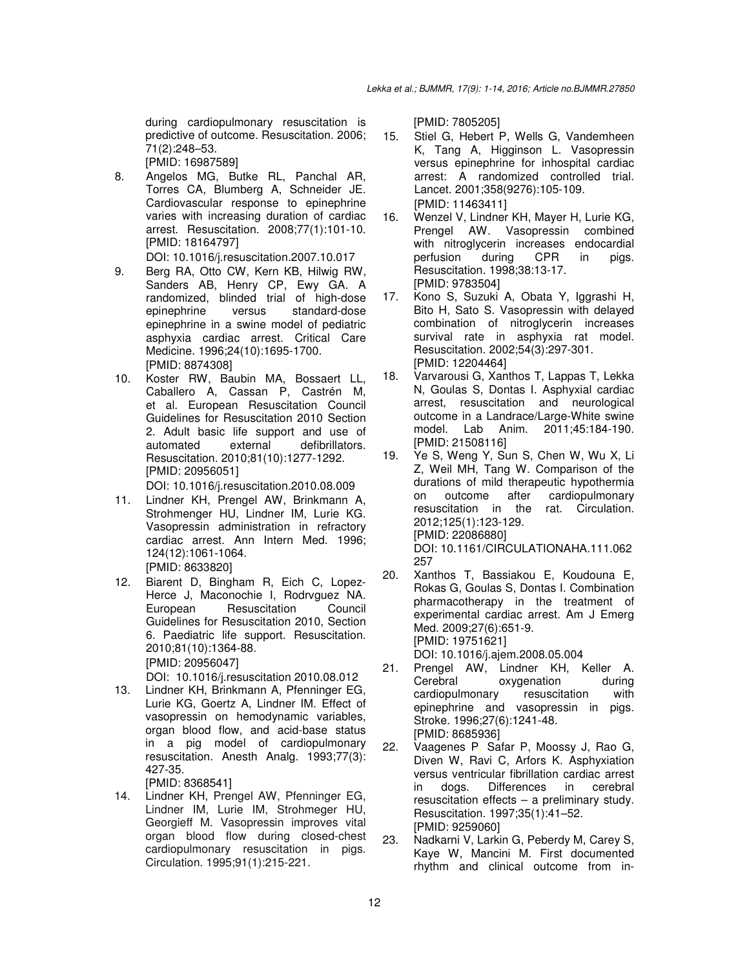during cardiopulmonary resuscitation is predictive of outcome. Resuscitation. 2006; 71(2):248–53.

[PMID: 16987589]

- 8. Angelos MG, Butke RL, Panchal AR, Torres CA, Blumberg A, Schneider JE. Cardiovascular response to epinephrine varies with increasing duration of cardiac arrest. Resuscitation. 2008;77(1):101-10. [PMID: 18164797]
	- DOI: 10.1016/j.resuscitation.2007.10.017
- 9. Berg RA, Otto CW, Kern KB, Hilwig RW, Sanders AB, Henry CP, Ewy GA. A randomized, blinded trial of high-dose epinephrine versus standard-dose epinephrine in a swine model of pediatric asphyxia cardiac arrest. Critical Care Medicine. 1996;24(10):1695-1700. [PMID: 8874308]
- 10. Koster RW, Baubin MA, Bossaert LL, Caballero A, Cassan P, Castrén M, et al. European Resuscitation Council Guidelines for Resuscitation 2010 Section 2. Adult basic life support and use of automated external defibrillators. Resuscitation. 2010;81(10):1277-1292. [PMID: 20956051]

DOI: 10.1016/j.resuscitation.2010.08.009

- 11. Lindner KH, Prengel AW, Brinkmann A, Strohmenger HU, Lindner IM, Lurie KG. Vasopressin administration in refractory cardiac arrest. Ann Intern Med. 1996; 124(12):1061-1064. [PMID: 8633820]
- 12. Biarent D, Bingham R, Eich C, Lopez-Herce J, Maconochie I, Rodrvguez NA. European Resuscitation Council Guidelines for Resuscitation 2010, Section 6. Paediatric life support. Resuscitation. 2010;81(10):1364-88. [PMID: 20956047] DOI: 10.1016/j.resuscitation 2010.08.012
- 13. Lindner KH, Brinkmann A, Pfenninger EG, Lurie KG, Goertz A, Lindner IM. Effect of vasopressin on hemodynamic variables, organ blood flow, and acid-base status in a pig model of cardiopulmonary resuscitation. Anesth Analg. 1993;77(3): 427-35.

[PMID: 8368541]

14. Lindner KH, Prengel AW, Pfenninger EG, Lindner IM, Lurie IM, Strohmeger HU, Georgieff M. Vasopressin improves vital organ blood flow during closed-chest cardiopulmonary resuscitation in pigs. Circulation. 1995;91(1):215-221.

[PMID: 7805205]

- 15. Stiel G, Hebert P, Wells G, Vandemheen K, Tang A, Higginson L. Vasopressin versus epinephrine for inhospital cardiac arrest: A randomized controlled trial. Lancet. 2001;358(9276):105-109. [PMID: 11463411]
- 16. Wenzel V, Lindner KH, Mayer H, Lurie KG, Prengel AW. Vasopressin combined with nitroglycerin increases endocardial perfusion during CPR in pigs. Resuscitation. 1998;38:13-17. [PMID: 9783504]
- 17. Kono S, Suzuki A, Obata Y, Iggrashi H, Bito H, Sato S. Vasopressin with delayed combination of nitroglycerin increases survival rate in asphyxia rat model. Resuscitation. 2002;54(3):297-301. [PMID: 12204464]
- 18. Varvarousi G, Xanthos T, Lappas T, Lekka N, Goulas S, Dontas I. Asphyxial cardiac arrest, resuscitation and neurological outcome in a Landrace/Large-White swine model. Lab Anim. 2011;45:184-190. [PMID: 21508116]
- 19. Ye S, Weng Y, Sun S, Chen W, Wu X, Li Z, Weil MH, Tang W. Comparison of the durations of mild therapeutic hypothermia on outcome after cardiopulmonary resuscitation in the rat. Circulation. 2012;125(1):123-129. [PMID: 22086880] DOI: 10.1161/CIRCULATIONAHA.111.062 257
- 20. Xanthos T, Bassiakou E, Koudouna E, Rokas G, Goulas S, Dontas I. Combination pharmacotherapy in the treatment of experimental cardiac arrest. Am J Emerg Med. 2009;27(6):651-9. [PMID: 19751621] DOI: 10.1016/j.ajem.2008.05.004
- 21. Prengel AW, Lindner KH, Keller A. Cerebral oxygenation during cardiopulmonary resuscitation with epinephrine and vasopressin in pigs. Stroke. 1996;27(6):1241-48. [PMID: 8685936]
- 22. Vaagenes P, Safar P, Moossy J, Rao G, Diven W, Ravi C, Arfors K. Asphyxiation versus ventricular fibrillation cardiac arrest in dogs. Differences in cerebral resuscitation effects – a preliminary study. Resuscitation. 1997;35(1):41–52. [PMID: 9259060]
- 23. Nadkarni V, Larkin G, Peberdy M, Carey S, Kaye W, Mancini M. First documented rhythm and clinical outcome from in-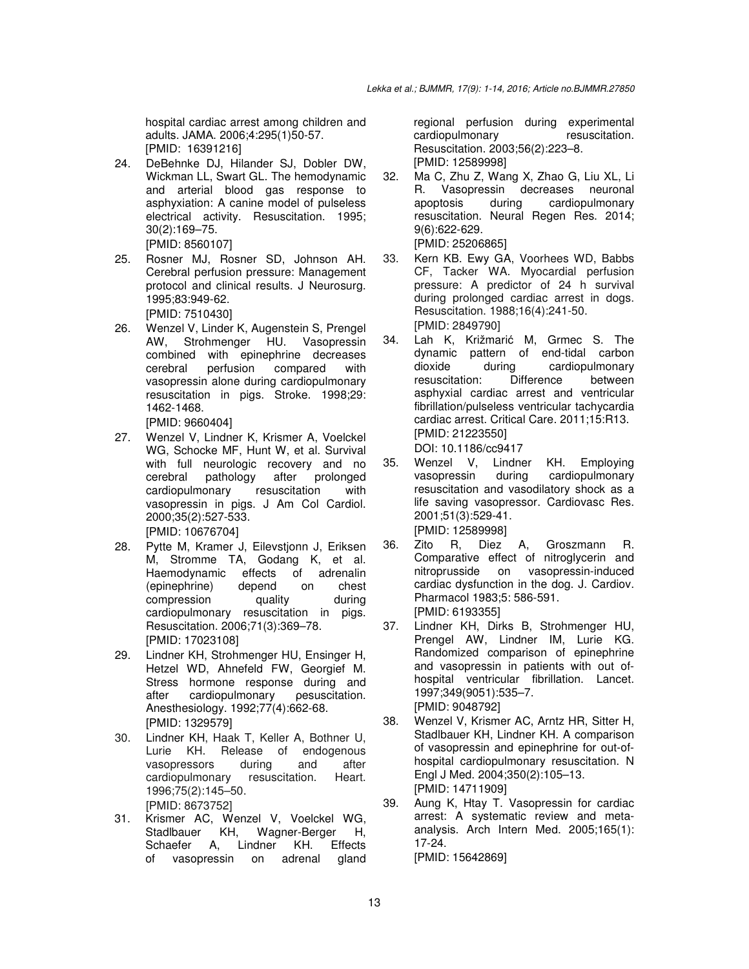hospital cardiac arrest among children and adults. JΑΜΑ. 2006;4:295(1)50-57. [PMID: 16391216]

- 24. DeBehnke DJ, Hilander SJ, Dobler DW, Wickman LL, Swart GL. The hemodynamic and arterial blood gas response to asphyxiation: A canine model of pulseless electrical activity. Resuscitation. 1995; 30(2):169–75. [PMID: 8560107]
- 25. Rosner MJ, Rosner SD, Johnson AH. Cerebral perfusion pressure: Management protocol and clinical results. J Neurosurg. 1995;83:949-62. [PMID: 7510430]
- 26. Wenzel V, Linder K, Augenstein S, Prengel AW, Strohmenger HU. Vasopressin combined with epinephrine decreases cerebral perfusion compared with vasopressin alone during cardiopulmonary resuscitation in pigs. Stroke. 1998;29: 1462-1468.
	- [PMID: 9660404]
- 27. Wenzel V, Lindner K, Krismer A, Voelckel WG, Schocke MF, Hunt W, et al. Survival with full neurologic recovery and no cerebral pathology after prolonged cardiopulmonary resuscitation with vasopressin in pigs. J Am Col Cardiol. 2000;35(2):527-533. [PMID: 10676704]
- 28. Pytte M, Kramer J, Eilevstjonn J, Eriksen M, Stromme TA, Godang K, et al. Haemodynamic effects (epinephrine) depend on chest compression quality during cardiopulmonary resuscitation in pigs. Resuscitation. 2006;71(3):369–78. [PMID: 17023108]
- 29. Lindner KH, Strohmenger HU, Ensinger H, Hetzel WD, Ahnefeld FW, Georgief M. Stress hormone response during and after cardiopulmonary pesuscitation. Anesthesiology. 1992;77(4):662-68. [PMID: 1329579]
- 30. Lindner KH, Haak T, Keller A, Bothner U, Lurie KH. Release of endogenous vasopressors during and after cardiopulmonary resuscitation. Heart. 1996;75(2):145–50. [PMID: 8673752]
- 31. Krismer AC, Wenzel V, Voelckel WG, Stadlbauer KH, Wagner-Berger H, Schaefer A, Lindner KH. Effects of vasopressin on adrenal gland

regional perfusion during experimental cardiopulmonary resuscitation. Resuscitation. 2003;56(2):223–8. [PMID: 12589998]

- 32. Ma C, Zhu Z, Wang X, Zhao G, Liu XL, Li R. Vasopressin decreases neuronal apoptosis during cardiopulmonary resuscitation. Neural Regen Res. 2014; 9(6):622-629. [PMID: 25206865]
- 33. Kern KB. Ewy GA, Voorhees WD, Babbs CF, Tacker WA. Myocardial perfusion pressure: A predictor of 24 h survival during prolonged cardiac arrest in dogs. Resuscitation. 1988;16(4):241-50. [PMID: 2849790]
- 34. Lah K, Križmarić M, Grmec S. The dynamic pattern of end-tidal carbon<br>dioxide during cardiopulmonary dioxide during cardiopulmonary<br>resuscitation: Difference between resuscitation: Difference between asphyxial cardiac arrest and ventricular fibrillation/pulseless ventricular tachycardia cardiac arrest. Critical Care. 2011;15:R13. [PMID: 21223550]
	- DOI: 10.1186/cc9417
- 35. Wenzel V, Lindner KH. Employing vasopressin during cardiopulmonary resuscitation and vasodilatory shock as a life saving vasopressor. Cardiovasc Res. 2001;51(3):529-41. [PMID: 12589998]
- 36. Zito R, Diez A, Groszmann R. Comparative effect of nitroglycerin and nitroprusside on vasopressin-induced cardiac dysfunction in the dog. J. Cardiov. Pharmacol 1983;5: 586-591. [PMID: 6193355]
- 37. Lindner KH, Dirks B, Strohmenger HU, Prengel AW, Lindner IM, Lurie KG. Randomized comparison of epinephrine and vasopressin in patients with out ofhospital ventricular fibrillation. Lancet. 1997;349(9051):535–7. [PMID: 9048792]
- 38. Wenzel V, Krismer AC, Arntz HR, Sitter H, Stadlbauer KH, Lindner KH. A comparison of vasopressin and epinephrine for out-ofhospital cardiopulmonary resuscitation. N Engl J Med. 2004;350(2):105–13. [PMID: 14711909]
- 39. Aung K, Htay T. Vasopressin for cardiac arrest: A systematic review and metaanalysis. Arch Intern Med. 2005;165(1): 17-24. [PMID: 15642869]